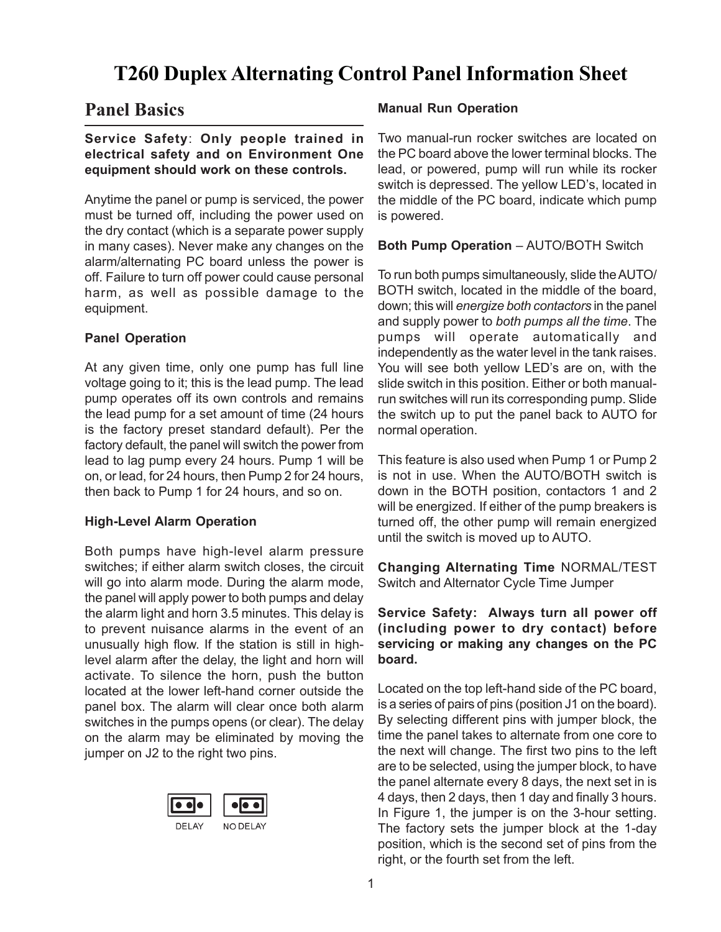# **T260 Duplex Alternating Control Panel Information Sheet**

# **Panel Basics**

### **Service Safety**: **Only people trained in electrical safety and on Environment One equipment should work on these controls.**

Anytime the panel or pump is serviced, the power must be turned off, including the power used on the dry contact (which is a separate power supply in many cases). Never make any changes on the alarm/alternating PC board unless the power is off. Failure to turn off power could cause personal harm, as well as possible damage to the equipment.

### **Panel Operation**

At any given time, only one pump has full line voltage going to it; this is the lead pump. The lead pump operates off its own controls and remains the lead pump for a set amount of time (24 hours is the factory preset standard default). Per the factory default, the panel will switch the power from lead to lag pump every 24 hours. Pump 1 will be on, or lead, for 24 hours, then Pump 2 for 24 hours, then back to Pump 1 for 24 hours, and so on.

#### **High-Level Alarm Operation**

Both pumps have high-level alarm pressure switches; if either alarm switch closes, the circuit will go into alarm mode. During the alarm mode, the panel will apply power to both pumps and delay the alarm light and horn 3.5 minutes. This delay is to prevent nuisance alarms in the event of an unusually high flow. If the station is still in highlevel alarm after the delay, the light and horn will activate. To silence the horn, push the button located at the lower left-hand corner outside the panel box. The alarm will clear once both alarm switches in the pumps opens (or clear). The delay on the alarm may be eliminated by moving the jumper on J2 to the right two pins.



#### **Manual Run Operation**

Two manual-run rocker switches are located on the PC board above the lower terminal blocks. The lead, or powered, pump will run while its rocker switch is depressed. The yellow LED's, located in the middle of the PC board, indicate which pump is powered.

**Both Pump Operation** – AUTO/BOTH Switch

To run both pumps simultaneously, slide the AUTO/ BOTH switch, located in the middle of the board, down; this will *energize both contactors* in the panel and supply power to *both pumps all the time*. The pumps will operate automatically and independently as the water level in the tank raises. You will see both yellow LED's are on, with the slide switch in this position. Either or both manualrun switches will run its corresponding pump. Slide the switch up to put the panel back to AUTO for normal operation.

This feature is also used when Pump 1 or Pump 2 is not in use. When the AUTO/BOTH switch is down in the BOTH position, contactors 1 and 2 will be energized. If either of the pump breakers is turned off, the other pump will remain energized until the switch is moved up to AUTO.

**Changing Alternating Time** NORMAL/TEST Switch and Alternator Cycle Time Jumper

**Service Safety: Always turn all power off (including power to dry contact) before servicing or making any changes on the PC board.**

Located on the top left-hand side of the PC board, is a series of pairs of pins (position J1 on the board). By selecting different pins with jumper block, the time the panel takes to alternate from one core to the next will change. The first two pins to the left are to be selected, using the jumper block, to have the panel alternate every 8 days, the next set in is 4 days, then 2 days, then 1 day and finally 3 hours. In Figure 1, the jumper is on the 3-hour setting. The factory sets the jumper block at the 1-day position, which is the second set of pins from the right, or the fourth set from the left.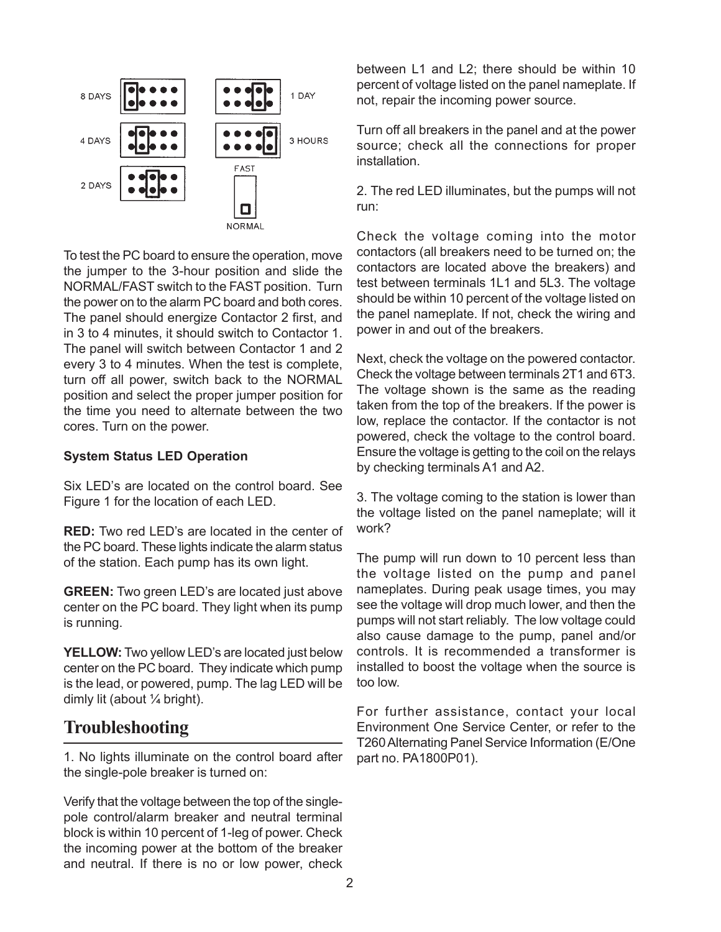

To test the PC board to ensure the operation, move the jumper to the 3-hour position and slide the NORMAL/FAST switch to the FAST position. Turn the power on to the alarm PC board and both cores. The panel should energize Contactor 2 first, and in 3 to 4 minutes, it should switch to Contactor 1. The panel will switch between Contactor 1 and 2 every 3 to 4 minutes. When the test is complete, turn off all power, switch back to the NORMAL position and select the proper jumper position for the time you need to alternate between the two cores. Turn on the power.

#### **System Status LED Operation**

Six LED's are located on the control board. See Figure 1 for the location of each LED.

**RED:** Two red LED's are located in the center of the PC board. These lights indicate the alarm status of the station. Each pump has its own light.

**GREEN:** Two green LED's are located just above center on the PC board. They light when its pump is running.

**YELLOW:** Two yellow LED's are located just below center on the PC board. They indicate which pump is the lead, or powered, pump. The lag LED will be dimly lit (about ¼ bright).

# **Troubleshooting**

1. No lights illuminate on the control board after the single-pole breaker is turned on:

Verify that the voltage between the top of the singlepole control/alarm breaker and neutral terminal block is within 10 percent of 1-leg of power. Check the incoming power at the bottom of the breaker and neutral. If there is no or low power, check

between L1 and L2; there should be within 10 percent of voltage listed on the panel nameplate. If not, repair the incoming power source.

Turn off all breakers in the panel and at the power source; check all the connections for proper installation.

2. The red LED illuminates, but the pumps will not run:

Check the voltage coming into the motor contactors (all breakers need to be turned on; the contactors are located above the breakers) and test between terminals 1L1 and 5L3. The voltage should be within 10 percent of the voltage listed on the panel nameplate. If not, check the wiring and power in and out of the breakers.

Next, check the voltage on the powered contactor. Check the voltage between terminals 2T1 and 6T3. The voltage shown is the same as the reading taken from the top of the breakers. If the power is low, replace the contactor. If the contactor is not powered, check the voltage to the control board. Ensure the voltage is getting to the coil on the relays by checking terminals A1 and A2.

3. The voltage coming to the station is lower than the voltage listed on the panel nameplate; will it work?

The pump will run down to 10 percent less than the voltage listed on the pump and panel nameplates. During peak usage times, you may see the voltage will drop much lower, and then the pumps will not start reliably. The low voltage could also cause damage to the pump, panel and/or controls. It is recommended a transformer is installed to boost the voltage when the source is too low.

For further assistance, contact your local Environment One Service Center, or refer to the T260 Alternating Panel Service Information (E/One part no. PA1800P01).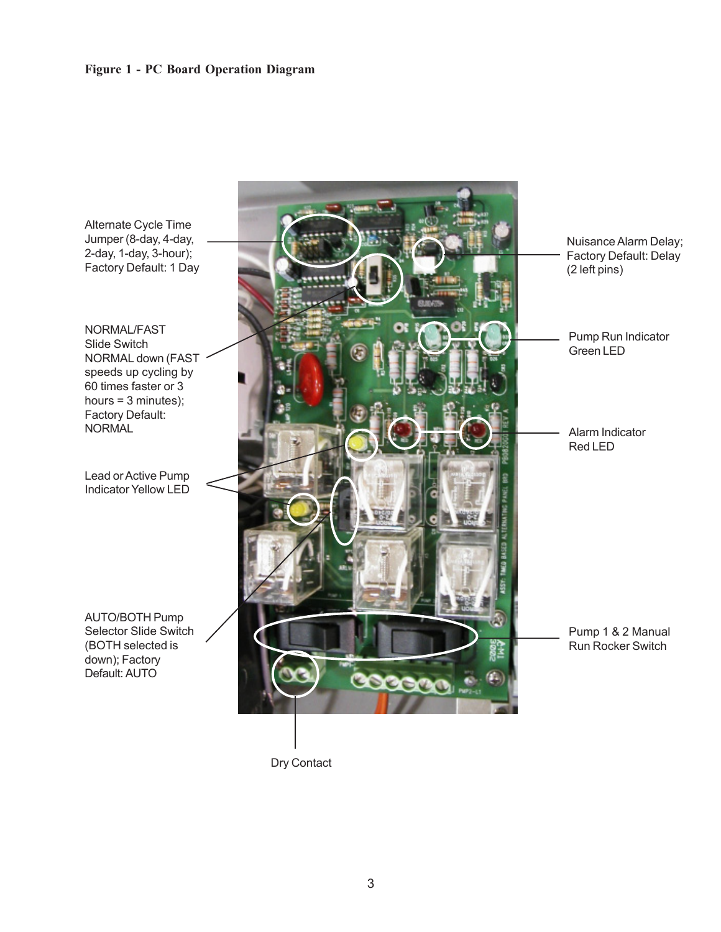#### **Figure 1 - PC Board Operation Diagram**



3